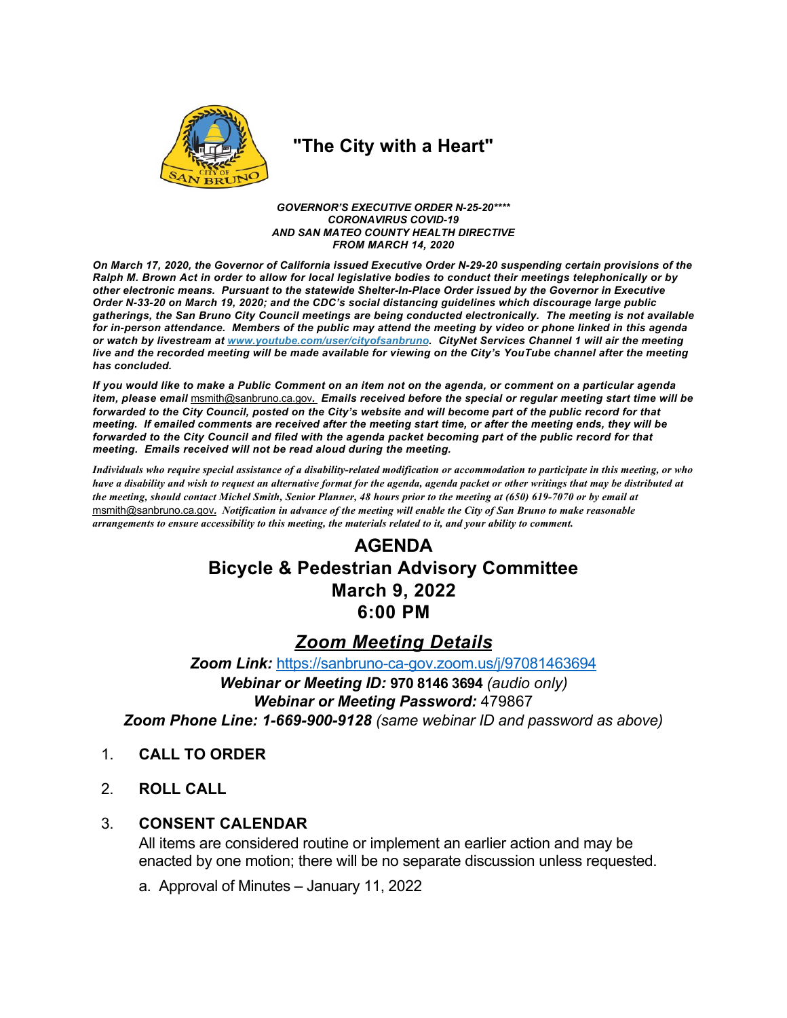

# "The City with a Heart"

**GOVERNOR'S EXECUTIVE ORDER N-25-20\*\*\*\* CORONAVIRUS COVID-19** AND SAN MATEO COUNTY HEALTH DIRECTIVE **FROM MARCH 14, 2020** 

On March 17. 2020, the Governor of California issued Executive Order N-29-20 suspending certain provisions of the Ralph M. Brown Act in order to allow for local legislative bodies to conduct their meetings telephonically or by other electronic means. Pursuant to the statewide Shelter-In-Place Order issued by the Governor in Executive Order N-33-20 on March 19, 2020; and the CDC's social distancing guidelines which discourage large public gatherings, the San Bruno City Council meetings are being conducted electronically. The meeting is not available for in-person attendance. Members of the public may attend the meeting by video or phone linked in this agenda or watch by livestream at www.youtube.com/user/cityofsanbruno. CityNet Services Channel 1 will air the meeting live and the recorded meeting will be made available for viewing on the City's YouTube channel after the meeting has concluded.

If you would like to make a Public Comment on an item not on the agenda, or comment on a particular agenda item, please email msmith@sanbruno.ca.gov. Emails received before the special or regular meeting start time will be forwarded to the City Council, posted on the City's website and will become part of the public record for that meeting. If emailed comments are received after the meeting start time, or after the meeting ends, they will be forwarded to the City Council and filed with the agenda packet becoming part of the public record for that meeting. Emails received will not be read aloud during the meeting.

Individuals who require special assistance of a disability-related modification or accommodation to participate in this meeting, or who have a disability and wish to request an alternative format for the agenda, agenda packet or other writings that may be distributed at the meeting, should contact Michel Smith, Senior Planner, 48 hours prior to the meeting at (650) 619-7070 or by email at msmith@sanbruno.ca.gov. Notification in advance of the meeting will enable the City of San Bruno to make reasonable arrangements to ensure accessibility to this meeting, the materials related to it, and your ability to comment.

# **AGENDA Bicycle & Pedestrian Advisory Committee March 9, 2022** 6:00 PM

## **Zoom Meeting Details**

Zoom Link: https://sanbruno-ca-gov.zoom.us/j/97081463694 Webinar or Meeting ID: 970 8146 3694 (audio only) **Webinar or Meeting Password: 479867** Zoom Phone Line: 1-669-900-9128 (same webinar ID and password as above)

- $\mathbf{1}$ **CALL TO ORDER**
- $2<sup>1</sup>$ **ROLL CALL**

#### **CONSENT CALENDAR**  $3_{-}$

All items are considered routine or implement an earlier action and may be enacted by one motion; there will be no separate discussion unless requested.

a. Approval of Minutes - January 11, 2022